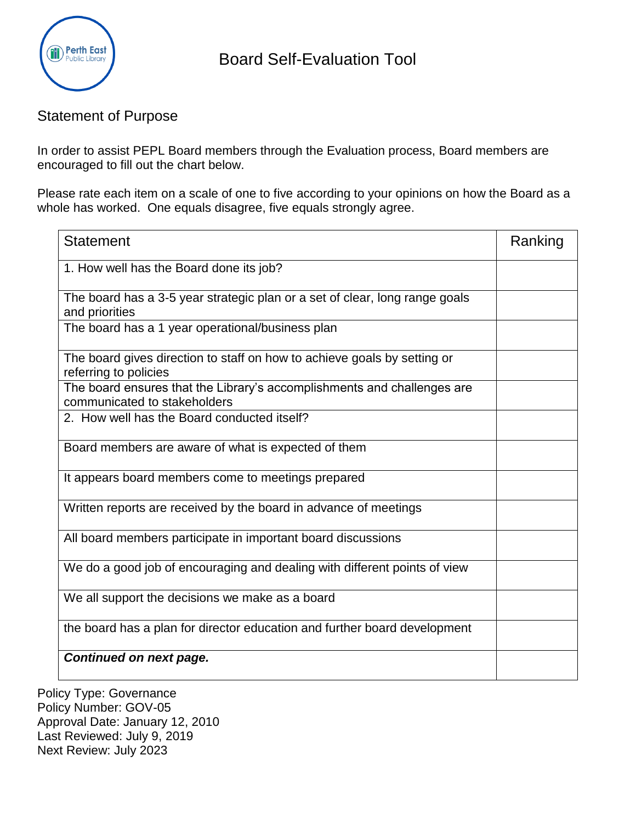

## Statement of Purpose

In order to assist PEPL Board members through the Evaluation process, Board members are encouraged to fill out the chart below.

Please rate each item on a scale of one to five according to your opinions on how the Board as a whole has worked. One equals disagree, five equals strongly agree.

| <b>Statement</b>                                                                                        | Ranking |
|---------------------------------------------------------------------------------------------------------|---------|
| 1. How well has the Board done its job?                                                                 |         |
| The board has a 3-5 year strategic plan or a set of clear, long range goals<br>and priorities           |         |
| The board has a 1 year operational/business plan                                                        |         |
| The board gives direction to staff on how to achieve goals by setting or<br>referring to policies       |         |
| The board ensures that the Library's accomplishments and challenges are<br>communicated to stakeholders |         |
| 2. How well has the Board conducted itself?                                                             |         |
| Board members are aware of what is expected of them                                                     |         |
| It appears board members come to meetings prepared                                                      |         |
| Written reports are received by the board in advance of meetings                                        |         |
| All board members participate in important board discussions                                            |         |
| We do a good job of encouraging and dealing with different points of view                               |         |
| We all support the decisions we make as a board                                                         |         |
| the board has a plan for director education and further board development                               |         |
| Continued on next page.                                                                                 |         |

Policy Type: Governance Policy Number: GOV-05 Approval Date: January 12, 2010 Last Reviewed: July 9, 2019 Next Review: July 2023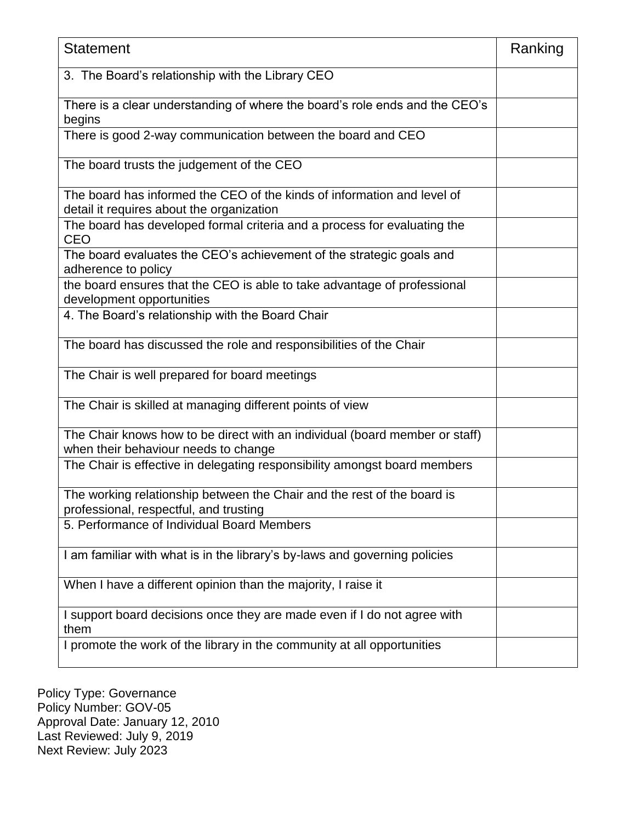| <b>Statement</b>                                                                                                     | Ranking |
|----------------------------------------------------------------------------------------------------------------------|---------|
| 3. The Board's relationship with the Library CEO                                                                     |         |
| There is a clear understanding of where the board's role ends and the CEO's<br>begins                                |         |
| There is good 2-way communication between the board and CEO                                                          |         |
| The board trusts the judgement of the CEO                                                                            |         |
| The board has informed the CEO of the kinds of information and level of<br>detail it requires about the organization |         |
| The board has developed formal criteria and a process for evaluating the<br><b>CEO</b>                               |         |
| The board evaluates the CEO's achievement of the strategic goals and<br>adherence to policy                          |         |
| the board ensures that the CEO is able to take advantage of professional<br>development opportunities                |         |
| 4. The Board's relationship with the Board Chair                                                                     |         |
| The board has discussed the role and responsibilities of the Chair                                                   |         |
| The Chair is well prepared for board meetings                                                                        |         |
| The Chair is skilled at managing different points of view                                                            |         |
| The Chair knows how to be direct with an individual (board member or staff)<br>when their behaviour needs to change  |         |
| The Chair is effective in delegating responsibility amongst board members                                            |         |
| The working relationship between the Chair and the rest of the board is<br>professional, respectful, and trusting    |         |
| 5. Performance of Individual Board Members                                                                           |         |
| I am familiar with what is in the library's by-laws and governing policies                                           |         |
| When I have a different opinion than the majority, I raise it                                                        |         |
| I support board decisions once they are made even if I do not agree with<br>them                                     |         |
| I promote the work of the library in the community at all opportunities                                              |         |

Policy Type: Governance Policy Number: GOV-05 Approval Date: January 12, 2010 Last Reviewed: July 9, 2019 Next Review: July 2023